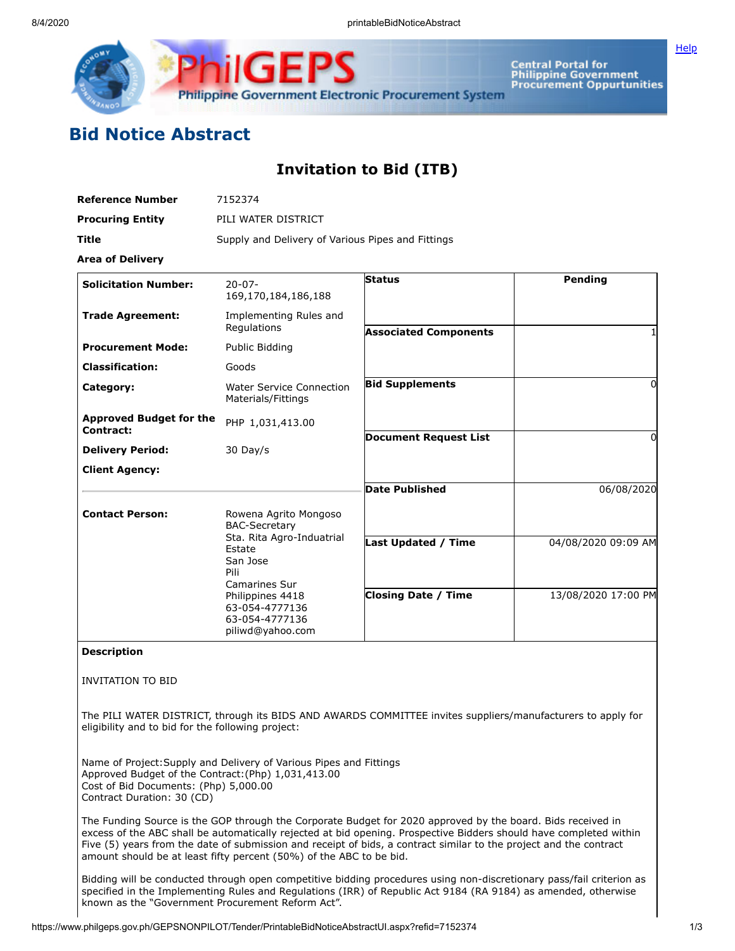



Central Portal for<br>Philippine Government<br>Procurement Oppurtunities

## **Bid Notice Abstract**

## **Invitation to Bid (ITB)**

| <b>Reference Number</b>                                                                                                    | 7152374                                                                                                                                              |                                                                                                                                                                                                                                                                                                                                                         |                     |  |  |
|----------------------------------------------------------------------------------------------------------------------------|------------------------------------------------------------------------------------------------------------------------------------------------------|---------------------------------------------------------------------------------------------------------------------------------------------------------------------------------------------------------------------------------------------------------------------------------------------------------------------------------------------------------|---------------------|--|--|
| <b>Procuring Entity</b>                                                                                                    | PILI WATER DISTRICT                                                                                                                                  |                                                                                                                                                                                                                                                                                                                                                         |                     |  |  |
| Title                                                                                                                      | Supply and Delivery of Various Pipes and Fittings                                                                                                    |                                                                                                                                                                                                                                                                                                                                                         |                     |  |  |
| <b>Area of Delivery</b>                                                                                                    |                                                                                                                                                      |                                                                                                                                                                                                                                                                                                                                                         |                     |  |  |
| <b>Solicitation Number:</b>                                                                                                | $20 - 07 -$<br>169, 170, 184, 186, 188                                                                                                               | <b>Status</b>                                                                                                                                                                                                                                                                                                                                           | <b>Pending</b>      |  |  |
| <b>Trade Agreement:</b>                                                                                                    | Implementing Rules and<br>Regulations                                                                                                                | <b>Associated Components</b>                                                                                                                                                                                                                                                                                                                            |                     |  |  |
| <b>Procurement Mode:</b>                                                                                                   | Public Bidding                                                                                                                                       |                                                                                                                                                                                                                                                                                                                                                         |                     |  |  |
| <b>Classification:</b>                                                                                                     | Goods                                                                                                                                                |                                                                                                                                                                                                                                                                                                                                                         |                     |  |  |
| Category:                                                                                                                  | <b>Water Service Connection</b><br>Materials/Fittings                                                                                                | <b>Bid Supplements</b>                                                                                                                                                                                                                                                                                                                                  | $\Omega$            |  |  |
| <b>Approved Budget for the</b><br>Contract:                                                                                | PHP 1,031,413.00                                                                                                                                     | <b>Document Request List</b>                                                                                                                                                                                                                                                                                                                            | 0                   |  |  |
| <b>Delivery Period:</b>                                                                                                    | 30 Day/s                                                                                                                                             |                                                                                                                                                                                                                                                                                                                                                         |                     |  |  |
| <b>Client Agency:</b>                                                                                                      |                                                                                                                                                      |                                                                                                                                                                                                                                                                                                                                                         |                     |  |  |
|                                                                                                                            |                                                                                                                                                      | <b>Date Published</b>                                                                                                                                                                                                                                                                                                                                   | 06/08/2020          |  |  |
| <b>Contact Person:</b>                                                                                                     | Rowena Agrito Mongoso<br><b>BAC-Secretary</b>                                                                                                        |                                                                                                                                                                                                                                                                                                                                                         |                     |  |  |
|                                                                                                                            | Sta. Rita Agro-Induatrial<br>Estate<br>San Jose<br>Pili<br>Camarines Sur<br>Philippines 4418<br>63-054-4777136<br>63-054-4777136<br>piliwd@yahoo.com | <b>Last Updated / Time</b>                                                                                                                                                                                                                                                                                                                              | 04/08/2020 09:09 AM |  |  |
|                                                                                                                            |                                                                                                                                                      | <b>Closing Date / Time</b>                                                                                                                                                                                                                                                                                                                              | 13/08/2020 17:00 PM |  |  |
| <b>Description</b>                                                                                                         |                                                                                                                                                      |                                                                                                                                                                                                                                                                                                                                                         |                     |  |  |
| INVITATION TO BID                                                                                                          |                                                                                                                                                      |                                                                                                                                                                                                                                                                                                                                                         |                     |  |  |
| eligibility and to bid for the following project:                                                                          |                                                                                                                                                      | The PILI WATER DISTRICT, through its BIDS AND AWARDS COMMITTEE invites suppliers/manufacturers to apply for                                                                                                                                                                                                                                             |                     |  |  |
| Approved Budget of the Contract: (Php) 1,031,413.00<br>Cost of Bid Documents: (Php) 5,000.00<br>Contract Duration: 30 (CD) | Name of Project: Supply and Delivery of Various Pipes and Fittings                                                                                   |                                                                                                                                                                                                                                                                                                                                                         |                     |  |  |
|                                                                                                                            | amount should be at least fifty percent (50%) of the ABC to be bid.                                                                                  | The Funding Source is the GOP through the Corporate Budget for 2020 approved by the board. Bids received in<br>excess of the ABC shall be automatically rejected at bid opening. Prospective Bidders should have completed within<br>Five (5) years from the date of submission and receipt of bids, a contract similar to the project and the contract |                     |  |  |
|                                                                                                                            |                                                                                                                                                      |                                                                                                                                                                                                                                                                                                                                                         |                     |  |  |

Bidding will be conducted through open competitive bidding procedures using non-discretionary pass/fail criterion as specified in the Implementing Rules and Regulations (IRR) of Republic Act 9184 (RA 9184) as amended, otherwise known as the "Government Procurement Reform Act".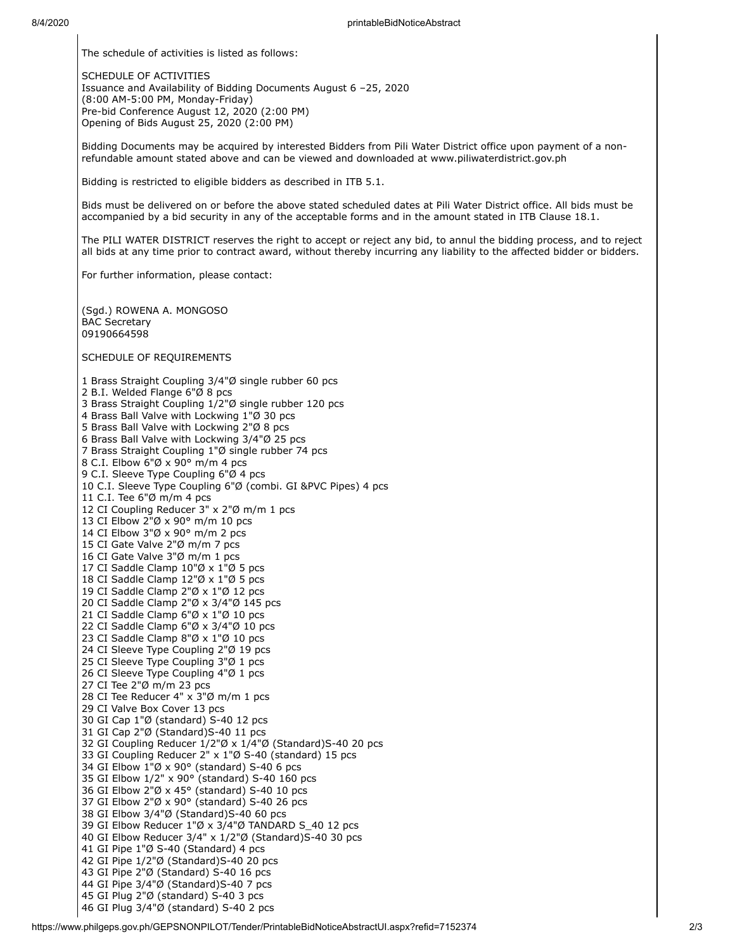The schedule of activities is listed as follows:

SCHEDULE OF ACTIVITIES Issuance and Availability of Bidding Documents August 6 –25, 2020 (8:00 AM-5:00 PM, Monday-Friday) Pre-bid Conference August 12, 2020 (2:00 PM) Opening of Bids August 25, 2020 (2:00 PM)

Bidding Documents may be acquired by interested Bidders from Pili Water District office upon payment of a nonrefundable amount stated above and can be viewed and downloaded at www.piliwaterdistrict.gov.ph

Bidding is restricted to eligible bidders as described in ITB 5.1.

Bids must be delivered on or before the above stated scheduled dates at Pili Water District office. All bids must be accompanied by a bid security in any of the acceptable forms and in the amount stated in ITB Clause 18.1.

The PILI WATER DISTRICT reserves the right to accept or reject any bid, to annul the bidding process, and to reject all bids at any time prior to contract award, without thereby incurring any liability to the affected bidder or bidders.

For further information, please contact:

(Sgd.) ROWENA A. MONGOSO BAC Secretary 

SCHEDULE OF REQUIREMENTS

 Brass Straight Coupling 3/4"Ø single rubber 60 pcs B.I. Welded Flange 6"Ø 8 pcs Brass Straight Coupling 1/2"Ø single rubber 120 pcs Brass Ball Valve with Lockwing 1"Ø 30 pcs Brass Ball Valve with Lockwing 2"Ø 8 pcs Brass Ball Valve with Lockwing 3/4"Ø 25 pcs Brass Straight Coupling 1"Ø single rubber 74 pcs C.I. Elbow 6"Ø x 90° m/m 4 pcs C.I. Sleeve Type Coupling 6"Ø 4 pcs C.I. Sleeve Type Coupling 6"Ø (combi. GI &PVC Pipes) 4 pcs C.I. Tee 6"Ø m/m 4 pcs CI Coupling Reducer 3" x 2"Ø m/m 1 pcs CI Elbow 2"Ø x 90° m/m 10 pcs CI Elbow 3"Ø x 90° m/m 2 pcs CI Gate Valve 2"Ø m/m 7 pcs CI Gate Valve 3"Ø m/m 1 pcs CI Saddle Clamp 10"Ø x 1"Ø 5 pcs CI Saddle Clamp 12"Ø x 1"Ø 5 pcs CI Saddle Clamp 2"Ø x 1"Ø 12 pcs CI Saddle Clamp 2"Ø x 3/4"Ø 145 pcs CI Saddle Clamp 6"Ø x 1"Ø 10 pcs CI Saddle Clamp 6"Ø x 3/4"Ø 10 pcs CI Saddle Clamp 8"Ø x 1"Ø 10 pcs CI Sleeve Type Coupling 2"Ø 19 pcs CI Sleeve Type Coupling 3"Ø 1 pcs CI Sleeve Type Coupling 4"Ø 1 pcs CI Tee 2"Ø m/m 23 pcs CI Tee Reducer 4" x 3"Ø m/m 1 pcs CI Valve Box Cover 13 pcs GI Cap 1"Ø (standard) S-40 12 pcs GI Cap 2"Ø (Standard)S-40 11 pcs GI Coupling Reducer 1/2"Ø x 1/4"Ø (Standard)S-40 20 pcs GI Coupling Reducer 2" x 1"Ø S-40 (standard) 15 pcs GI Elbow 1"Ø x 90° (standard) S-40 6 pcs GI Elbow 1/2" x 90° (standard) S-40 160 pcs GI Elbow 2"Ø x 45° (standard) S-40 10 pcs GI Elbow 2"Ø x 90° (standard) S-40 26 pcs GI Elbow 3/4"Ø (Standard)S-40 60 pcs GI Elbow Reducer 1"Ø x 3/4"Ø TANDARD S\_40 12 pcs GI Elbow Reducer 3/4" x 1/2"Ø (Standard)S-40 30 pcs GI Pipe 1"Ø S-40 (Standard) 4 pcs GI Pipe 1/2"Ø (Standard)S-40 20 pcs GI Pipe 2"Ø (Standard) S-40 16 pcs GI Pipe 3/4"Ø (Standard)S-40 7 pcs GI Plug 2"Ø (standard) S-40 3 pcs GI Plug 3/4"Ø (standard) S-40 2 pcs